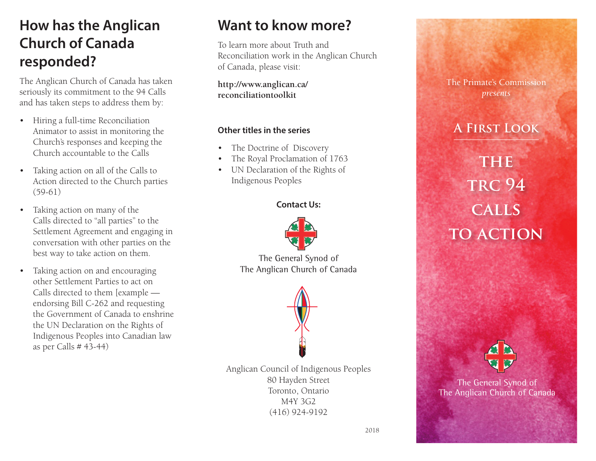# **How has the Anglican Church of Canada responded?**

The Anglican Church of Canada has taken seriously its commitment to the 94 Calls and has taken steps to address them by:

- Hiring a full-time Reconciliation Animator to assist in monitoring the Church's responses and keeping the Church accountable to the Calls
- Taking action on all of the Calls to Action directed to the Church parties (59-61)
- Taking action on many of the Calls directed to "all parties" to the Settlement Agreement and engaging in conversation with other parties on the best way to take action on them.
- Taking action on and encouraging other Settlement Parties to act on Calls directed to them [example endorsing Bill C-262 and requesting the Government of Canada to enshrine the UN Declaration on the Rights of Indigenous Peoples into Canadian law as per Calls # 43-44)

### **Want to know more?**

To learn more about Truth and Reconciliation work in the Anglican Church of Canada, please visit:

**http://www.anglican.ca/ reconciliationtoolkit**

#### **Other titles in the series**

- The Doctrine of Discovery
- The Royal Proclamation of 1763
- UN Declaration of the Rights of Indigenous Peoples

#### **Contact Us:**



The General Synod of The Anglican Church of Canada



Anglican Council of Indigenous Peoples 80 Hayden Street Toronto, Ontario M4Y 3G2 (416) 924-9192



### **A First Look**

# **THE trc 94 calls TO ACTION**



The General Synod of The Anglican Church of Canada